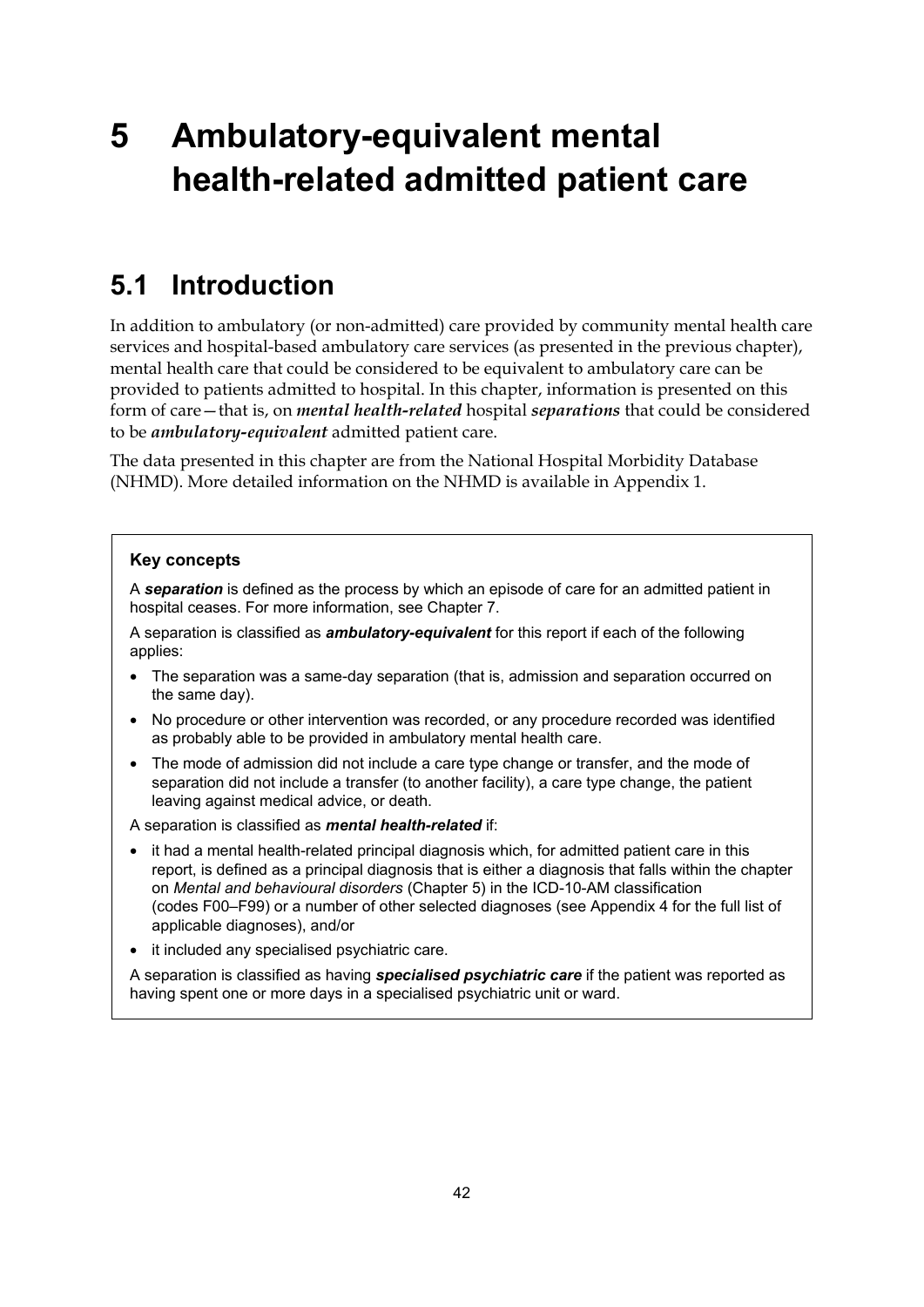# **5 Ambulatory-equivalent mental health-related admitted patient care**

# **5.1 Introduction**

In addition to ambulatory (or non-admitted) care provided by community mental health care services and hospital-based ambulatory care services (as presented in the previous chapter), mental health care that could be considered to be equivalent to ambulatory care can be provided to patients admitted to hospital. In this chapter, information is presented on this form of care—that is, on *mental health-related* hospital *separations* that could be considered to be *ambulatory-equivalent* admitted patient care.

The data presented in this chapter are from the National Hospital Morbidity Database (NHMD). More detailed information on the NHMD is available in Appendix 1.

#### **Key concepts**

A *separation* is defined as the process by which an episode of care for an admitted patient in hospital ceases. For more information, see Chapter 7.

A separation is classified as *ambulatory-equivalent* for this report if each of the following applies:

- The separation was a same-day separation (that is, admission and separation occurred on the same day).
- No procedure or other intervention was recorded, or any procedure recorded was identified as probably able to be provided in ambulatory mental health care.
- The mode of admission did not include a care type change or transfer, and the mode of separation did not include a transfer (to another facility), a care type change, the patient leaving against medical advice, or death.

A separation is classified as *mental health-related* if:

- it had a mental health-related principal diagnosis which, for admitted patient care in this report, is defined as a principal diagnosis that is either a diagnosis that falls within the chapter on *Mental and behavioural disorders* (Chapter 5) in the ICD-10-AM classification (codes F00–F99) or a number of other selected diagnoses (see Appendix 4 for the full list of applicable diagnoses), and/or
- it included any specialised psychiatric care.

A separation is classified as having *specialised psychiatric care* if the patient was reported as having spent one or more days in a specialised psychiatric unit or ward.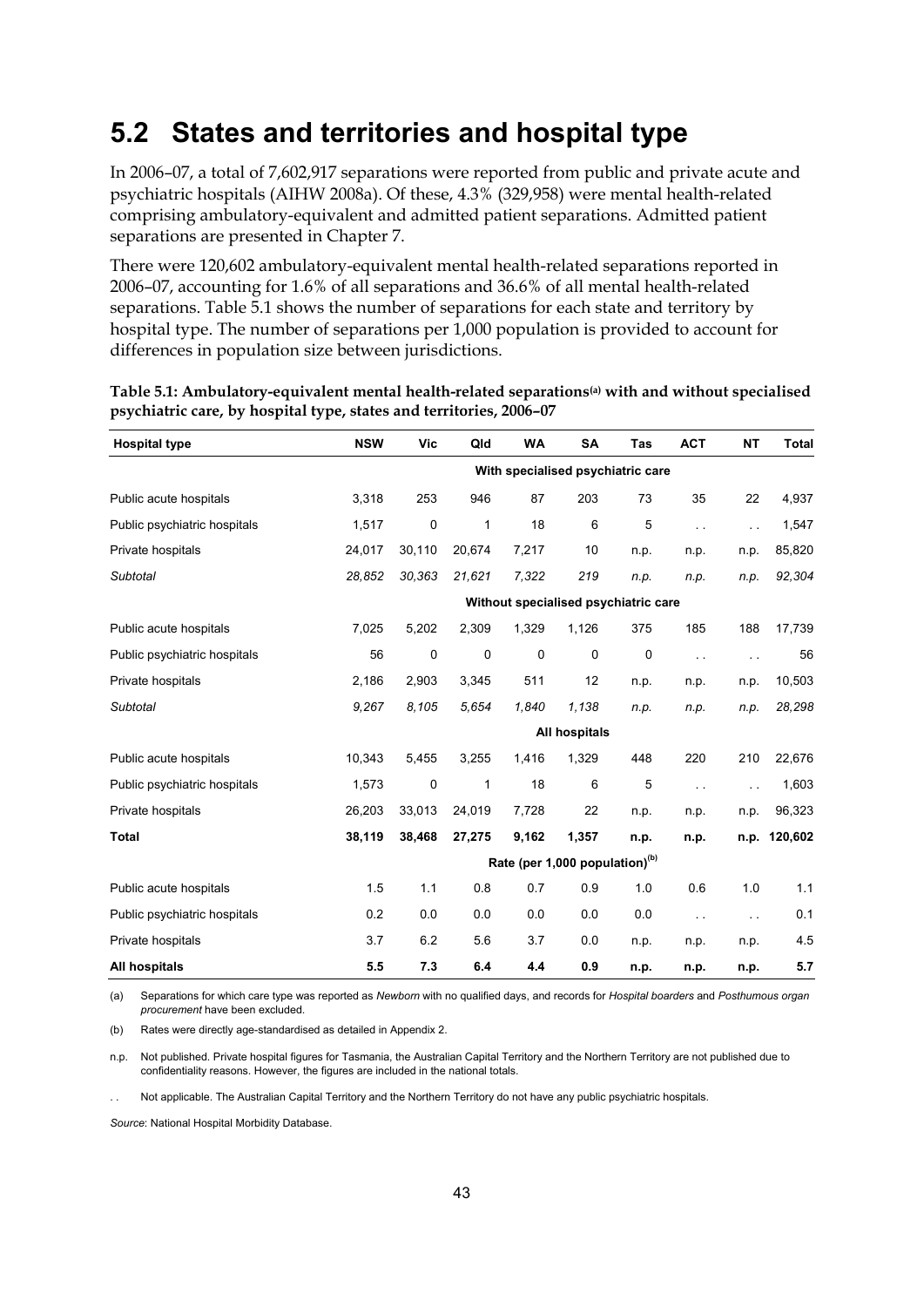### **5.2 States and territories and hospital type**

In 2006–07, a total of 7,602,917 separations were reported from public and private acute and psychiatric hospitals (AIHW 2008a). Of these, 4.3% (329,958) were mental health-related comprising ambulatory-equivalent and admitted patient separations. Admitted patient separations are presented in Chapter 7.

There were 120,602 ambulatory-equivalent mental health-related separations reported in 2006–07, accounting for 1.6% of all separations and 36.6% of all mental health-related separations. Table 5.1 shows the number of separations for each state and territory by hospital type. The number of separations per 1,000 population is provided to account for differences in population size between jurisdictions.

| <b>Hospital type</b>         | <b>NSW</b> | Vic    | Qld    | <b>WA</b> | <b>SA</b>                                  | Tas  | <b>ACT</b>    | <b>NT</b>     | <b>Total</b> |
|------------------------------|------------|--------|--------|-----------|--------------------------------------------|------|---------------|---------------|--------------|
|                              |            |        |        |           | With specialised psychiatric care          |      |               |               |              |
| Public acute hospitals       | 3,318      | 253    | 946    | 87        | 203                                        | 73   | 35            | 22            | 4,937        |
| Public psychiatric hospitals | 1,517      | 0      | 1      | 18        | 6                                          | 5    | $\sim$        | $\sim$ .      | 1,547        |
| Private hospitals            | 24,017     | 30,110 | 20,674 | 7,217     | 10                                         | n.p. | n.p.          | n.p.          | 85,820       |
| Subtotal                     | 28,852     | 30,363 | 21,621 | 7,322     | 219                                        | n.p. | n.p.          | n.p.          | 92,304       |
|                              |            |        |        |           | Without specialised psychiatric care       |      |               |               |              |
| Public acute hospitals       | 7,025      | 5,202  | 2,309  | 1,329     | 1,126                                      | 375  | 185           | 188           | 17,739       |
| Public psychiatric hospitals | 56         | 0      | 0      | 0         | 0                                          | 0    | $\sim$ $\sim$ | $\sim$ $\sim$ | 56           |
| Private hospitals            | 2,186      | 2,903  | 3,345  | 511       | 12                                         | n.p. | n.p.          | n.p.          | 10,503       |
| <b>Subtotal</b>              | 9,267      | 8,105  | 5,654  | 1,840     | 1,138                                      | n.p. | n.p.          | n.p.          | 28,298       |
|                              |            |        |        |           | All hospitals                              |      |               |               |              |
| Public acute hospitals       | 10,343     | 5,455  | 3,255  | 1,416     | 1,329                                      | 448  | 220           | 210           | 22,676       |
| Public psychiatric hospitals | 1,573      | 0      | 1      | 18        | 6                                          | 5    | $\sim$        | i.            | 1,603        |
| Private hospitals            | 26,203     | 33.013 | 24,019 | 7,728     | 22                                         | n.p. | n.p.          | n.p.          | 96,323       |
| Total                        | 38,119     | 38,468 | 27,275 | 9,162     | 1,357                                      | n.p. | n.p.          | n.p.          | 120,602      |
|                              |            |        |        |           | Rate (per 1,000 population) <sup>(b)</sup> |      |               |               |              |
| Public acute hospitals       | 1.5        | 1.1    | 0.8    | 0.7       | 0.9                                        | 1.0  | 0.6           | 1.0           | 1.1          |
| Public psychiatric hospitals | 0.2        | 0.0    | 0.0    | 0.0       | 0.0                                        | 0.0  | $\sim$        | $\sim$ $\sim$ | 0.1          |
| Private hospitals            | 3.7        | 6.2    | 5.6    | 3.7       | 0.0                                        | n.p. | n.p.          | n.p.          | 4.5          |
| All hospitals                | 5.5        | 7.3    | 6.4    | 4.4       | 0.9                                        | n.p. | n.p.          | n.p.          | 5.7          |

**Table 5.1: Ambulatory-equivalent mental health-related separations(a) with and without specialised psychiatric care, by hospital type, states and territories, 2006–07** 

(a) Separations for which care type was reported as *Newborn* with no qualified days, and records for *Hospital boarders* and *Posthumous organ procurement* have been excluded.

(b) Rates were directly age-standardised as detailed in Appendix 2.

n.p. Not published. Private hospital figures for Tasmania, the Australian Capital Territory and the Northern Territory are not published due to confidentiality reasons. However, the figures are included in the national totals.

Not applicable. The Australian Capital Territory and the Northern Territory do not have any public psychiatric hospitals.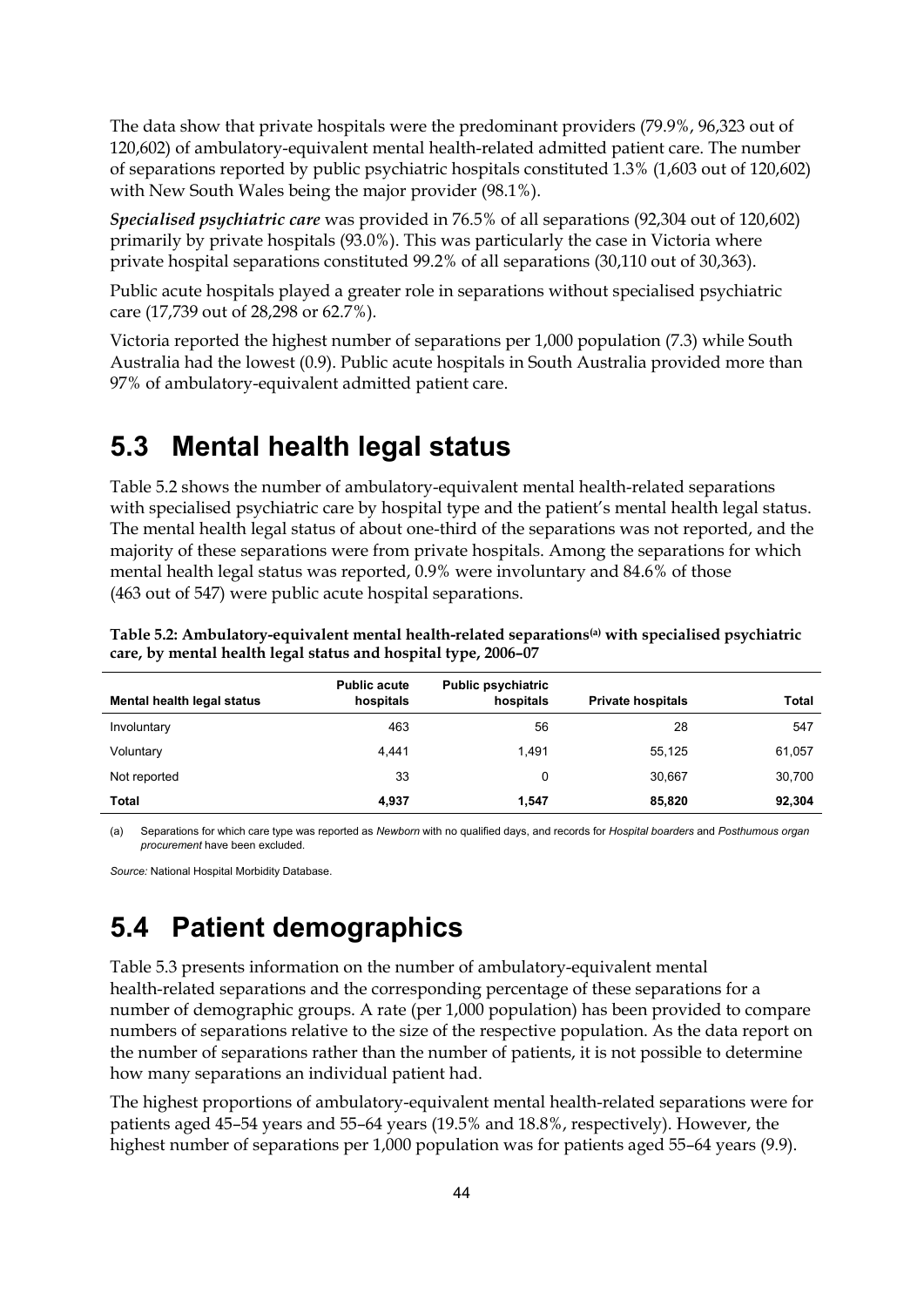The data show that private hospitals were the predominant providers (79.9%, 96,323 out of 120,602) of ambulatory-equivalent mental health-related admitted patient care. The number of separations reported by public psychiatric hospitals constituted 1.3% (1,603 out of 120,602) with New South Wales being the major provider (98.1%).

*Specialised psychiatric care* was provided in 76.5% of all separations (92,304 out of 120,602) primarily by private hospitals (93.0%). This was particularly the case in Victoria where private hospital separations constituted 99.2% of all separations (30,110 out of 30,363).

Public acute hospitals played a greater role in separations without specialised psychiatric care (17,739 out of 28,298 or 62.7%).

Victoria reported the highest number of separations per 1,000 population (7.3) while South Australia had the lowest (0.9). Public acute hospitals in South Australia provided more than 97% of ambulatory-equivalent admitted patient care.

#### **5.3 Mental health legal status**

Table 5.2 shows the number of ambulatory-equivalent mental health-related separations with specialised psychiatric care by hospital type and the patient's mental health legal status. The mental health legal status of about one-third of the separations was not reported, and the majority of these separations were from private hospitals. Among the separations for which mental health legal status was reported, 0.9% were involuntary and 84.6% of those (463 out of 547) were public acute hospital separations.

| Mental health legal status | <b>Public acute</b><br>hospitals | <b>Public psychiatric</b><br>hospitals | <b>Private hospitals</b> | <b>Total</b> |
|----------------------------|----------------------------------|----------------------------------------|--------------------------|--------------|
| Involuntary                | 463                              | 56                                     | 28                       | 547          |
| Voluntary                  | 4.441                            | 1.491                                  | 55.125                   | 61,057       |
| Not reported               | 33                               |                                        | 30,667                   | 30,700       |
| Total                      | 4,937                            | 1.547                                  | 85.820                   | 92,304       |

**Table 5.2: Ambulatory-equivalent mental health-related separations(a) with specialised psychiatric care, by mental health legal status and hospital type, 2006–07** 

(a) Separations for which care type was reported as *Newborn* with no qualified days, and records for *Hospital boarders* and *Posthumous organ procurement* have been excluded.

*Source:* National Hospital Morbidity Database.

# **5.4 Patient demographics**

Table 5.3 presents information on the number of ambulatory-equivalent mental health-related separations and the corresponding percentage of these separations for a number of demographic groups. A rate (per 1,000 population) has been provided to compare numbers of separations relative to the size of the respective population. As the data report on the number of separations rather than the number of patients, it is not possible to determine how many separations an individual patient had.

The highest proportions of ambulatory-equivalent mental health-related separations were for patients aged 45–54 years and 55–64 years (19.5% and 18.8%, respectively). However, the highest number of separations per 1,000 population was for patients aged 55–64 years (9.9).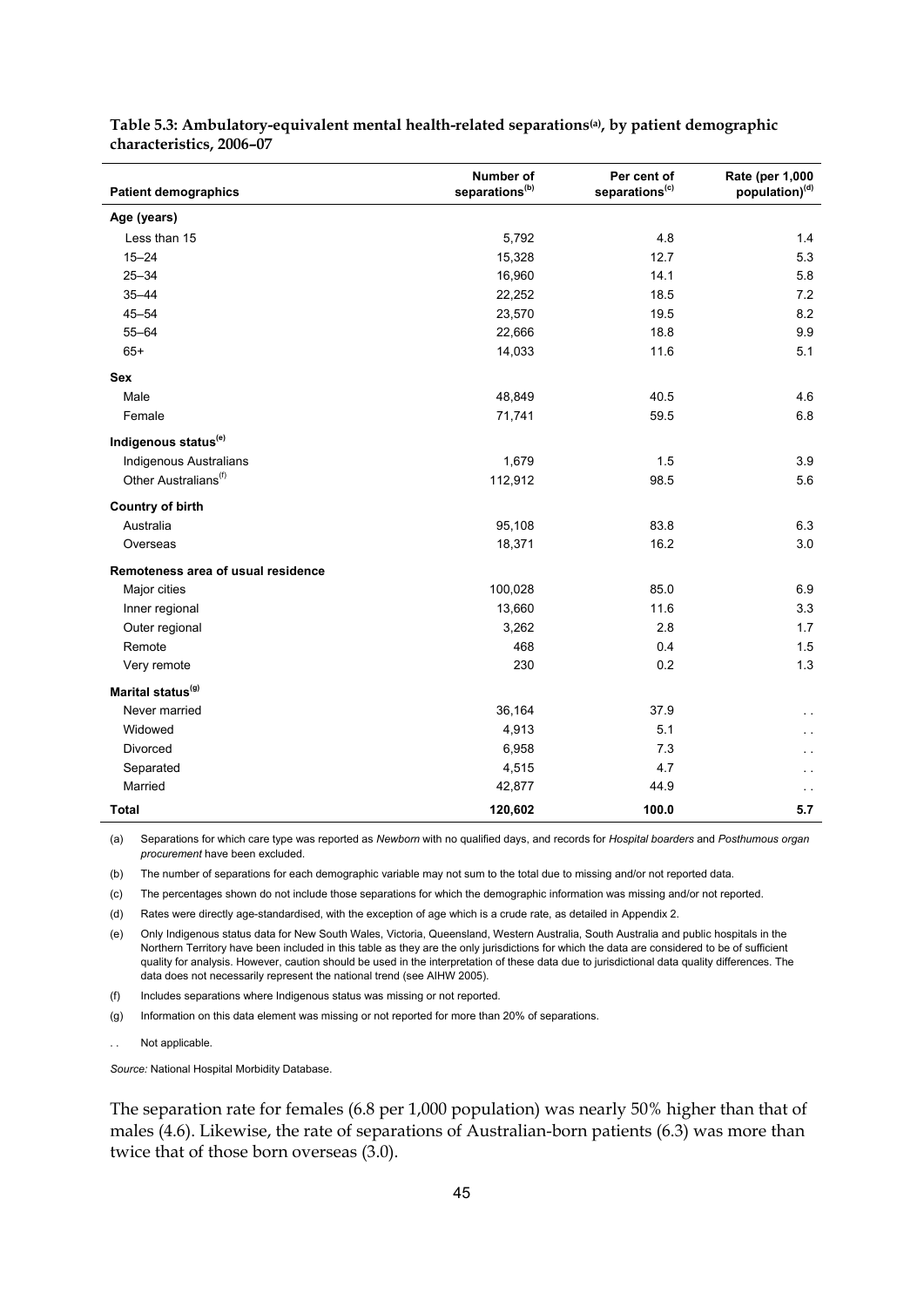| <b>Patient demographics</b>        | <b>Number of</b><br>separations <sup>(b)</sup> | Per cent of<br>separations <sup>(c)</sup> | Rate (per 1,000<br>population) <sup>(d)</sup> |
|------------------------------------|------------------------------------------------|-------------------------------------------|-----------------------------------------------|
| Age (years)                        |                                                |                                           |                                               |
|                                    |                                                |                                           |                                               |
| Less than 15                       | 5,792                                          | 4.8                                       | 1.4                                           |
| $15 - 24$                          | 15,328                                         | 12.7                                      | 5.3                                           |
| $25 - 34$                          | 16,960                                         | 14.1                                      | 5.8                                           |
| $35 - 44$                          | 22,252                                         | 18.5                                      | 7.2                                           |
| $45 - 54$                          | 23,570                                         | 19.5                                      | 8.2                                           |
| $55 - 64$                          | 22,666                                         | 18.8                                      | 9.9                                           |
| $65+$                              | 14,033                                         | 11.6                                      | 5.1                                           |
| <b>Sex</b>                         |                                                |                                           |                                               |
| Male                               | 48,849                                         | 40.5                                      | 4.6                                           |
| Female                             | 71,741                                         | 59.5                                      | 6.8                                           |
| Indigenous status <sup>(e)</sup>   |                                                |                                           |                                               |
| Indigenous Australians             | 1,679                                          | 1.5                                       | 3.9                                           |
| Other Australians <sup>(f)</sup>   | 112,912                                        | 98.5                                      | 5.6                                           |
| <b>Country of birth</b>            |                                                |                                           |                                               |
| Australia                          | 95,108                                         | 83.8                                      | 6.3                                           |
| Overseas                           | 18,371                                         | 16.2                                      | 3.0                                           |
| Remoteness area of usual residence |                                                |                                           |                                               |
| Major cities                       | 100,028                                        | 85.0                                      | 6.9                                           |
| Inner regional                     | 13,660                                         | 11.6                                      | 3.3                                           |
| Outer regional                     | 3,262                                          | 2.8                                       | 1.7                                           |
| Remote                             | 468                                            | 0.4                                       | 1.5                                           |
| Very remote                        | 230                                            | 0.2                                       | 1.3                                           |
| Marital status <sup>(g)</sup>      |                                                |                                           |                                               |
| Never married                      | 36,164                                         | 37.9                                      |                                               |
| Widowed                            | 4,913                                          | 5.1                                       | $\ddot{\phantom{0}}$                          |
| Divorced                           | 6,958                                          | 7.3                                       |                                               |
| Separated                          | 4,515                                          | 4.7                                       |                                               |
| Married                            | 42,877                                         | 44.9                                      |                                               |
| <b>Total</b>                       | 120,602                                        | 100.0                                     | 5.7                                           |

**Table 5.3: Ambulatory-equivalent mental health-related separations(a), by patient demographic characteristics, 2006–07** 

(a) Separations for which care type was reported as *Newborn* with no qualified days, and records for *Hospital boarders* and *Posthumous organ procurement* have been excluded.

(b) The number of separations for each demographic variable may not sum to the total due to missing and/or not reported data.

(c) The percentages shown do not include those separations for which the demographic information was missing and/or not reported.

(d) Rates were directly age-standardised, with the exception of age which is a crude rate, as detailed in Appendix 2.

(e) Only Indigenous status data for New South Wales, Victoria, Queensland, Western Australia, South Australia and public hospitals in the Northern Territory have been included in this table as they are the only jurisdictions for which the data are considered to be of sufficient quality for analysis. However, caution should be used in the interpretation of these data due to jurisdictional data quality differences. The data does not necessarily represent the national trend (see AIHW 2005).

(f) Includes separations where Indigenous status was missing or not reported.

(g) Information on this data element was missing or not reported for more than 20% of separations.

Not applicable.

*Source:* National Hospital Morbidity Database.

The separation rate for females (6.8 per 1,000 population) was nearly 50% higher than that of males (4.6). Likewise, the rate of separations of Australian-born patients (6.3) was more than twice that of those born overseas (3.0).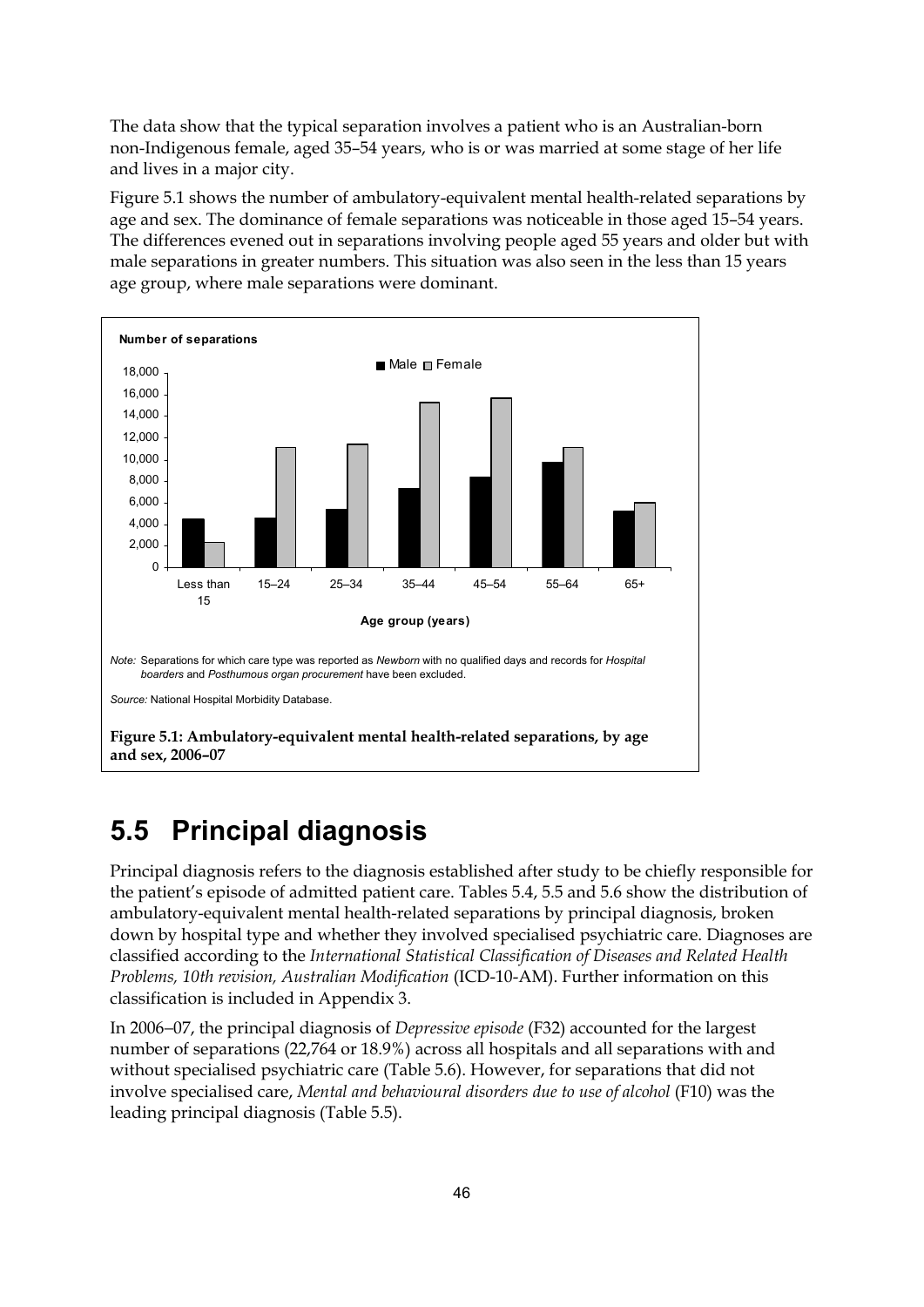The data show that the typical separation involves a patient who is an Australian-born non-Indigenous female, aged 35–54 years, who is or was married at some stage of her life and lives in a major city.

Figure 5.1 shows the number of ambulatory-equivalent mental health-related separations by age and sex. The dominance of female separations was noticeable in those aged 15–54 years. The differences evened out in separations involving people aged 55 years and older but with male separations in greater numbers. This situation was also seen in the less than 15 years age group, where male separations were dominant.



# **5.5 Principal diagnosis**

Principal diagnosis refers to the diagnosis established after study to be chiefly responsible for the patient's episode of admitted patient care. Tables 5.4, 5.5 and 5.6 show the distribution of ambulatory-equivalent mental health-related separations by principal diagnosis, broken down by hospital type and whether they involved specialised psychiatric care. Diagnoses are classified according to the *International Statistical Classification of Diseases and Related Health Problems, 10th revision, Australian Modification* (ICD-10-AM). Further information on this classification is included in Appendix 3.

In 2006−07, the principal diagnosis of *Depressive episode* (F32) accounted for the largest number of separations (22,764 or 18.9%) across all hospitals and all separations with and without specialised psychiatric care (Table 5.6). However, for separations that did not involve specialised care, *Mental and behavioural disorders due to use of alcohol* (F10) was the leading principal diagnosis (Table 5.5).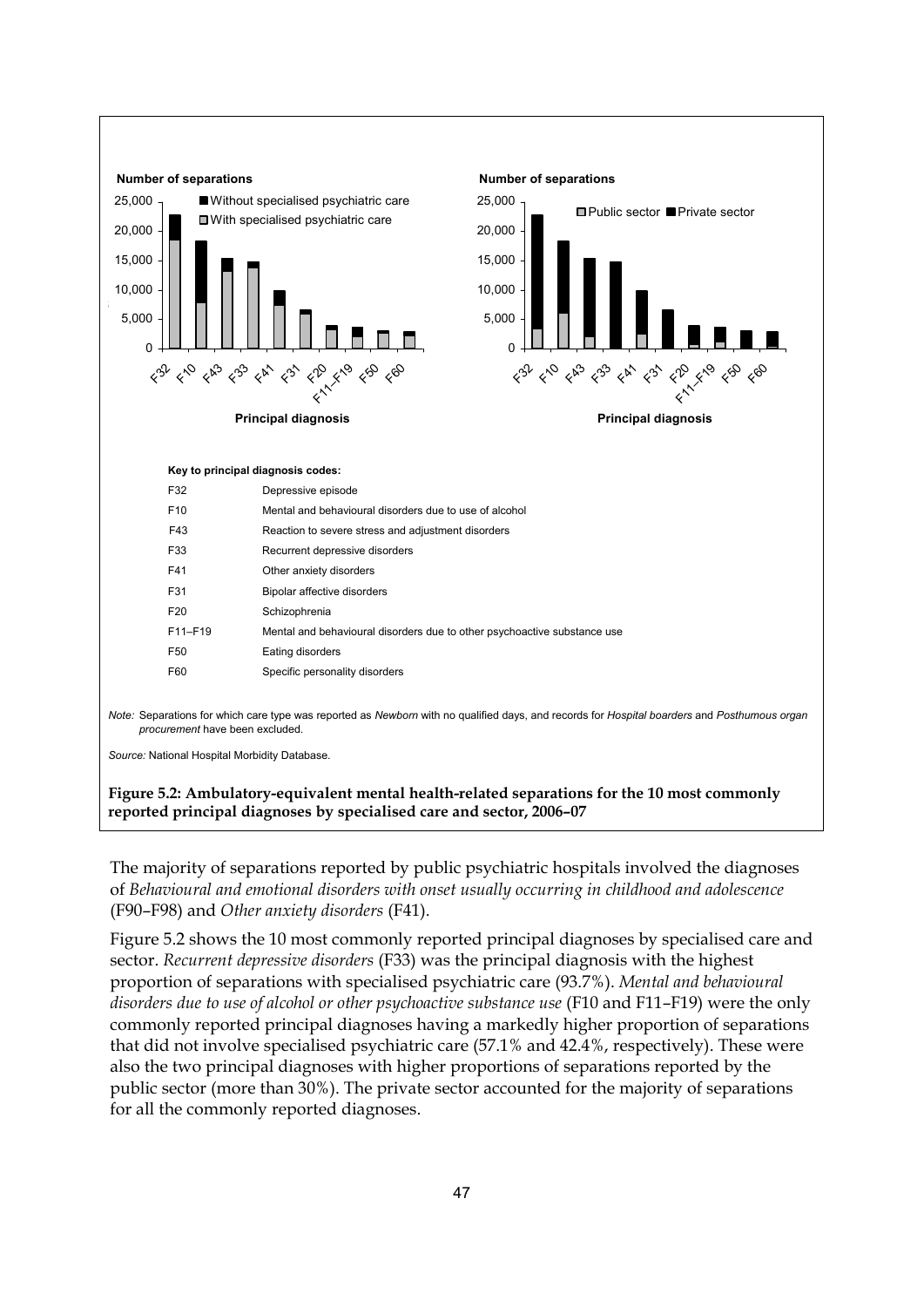

**reported principal diagnoses by specialised care and sector, 2006–07** 

The majority of separations reported by public psychiatric hospitals involved the diagnoses of *Behavioural and emotional disorders with onset usually occurring in childhood and adolescence* (F90–F98) and *Other anxiety disorders* (F41).

Figure 5.2 shows the 10 most commonly reported principal diagnoses by specialised care and sector. *Recurrent depressive disorders* (F33) was the principal diagnosis with the highest proportion of separations with specialised psychiatric care (93.7%). *Mental and behavioural disorders due to use of alcohol or other psychoactive substance use* (F10 and F11–F19) were the only commonly reported principal diagnoses having a markedly higher proportion of separations that did not involve specialised psychiatric care (57.1% and 42.4%, respectively). These were also the two principal diagnoses with higher proportions of separations reported by the public sector (more than 30%). The private sector accounted for the majority of separations for all the commonly reported diagnoses.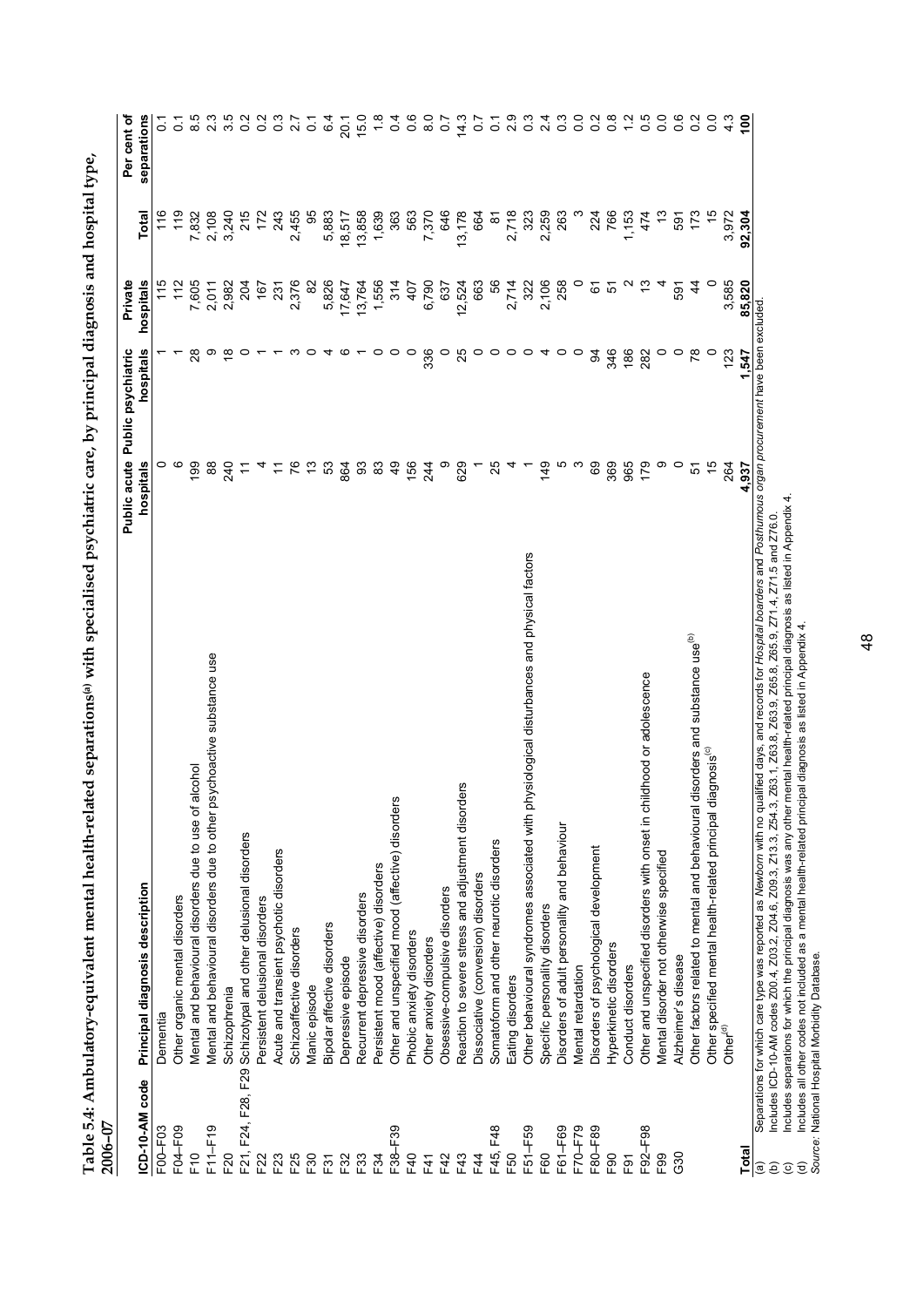| separations<br>3.5<br>0.6<br>က္<br>$\overline{0}$<br>0.2<br>$0.\overline{8}$<br>$\frac{2}{1}$<br>ю<br>$\begin{smallmatrix}0&&0\0&0\end{smallmatrix}$<br>0.2<br>$\frac{0}{2}$<br>23<br>$\overline{0}$<br>0.2<br>15.0<br>$\frac{8}{10}$<br>$\overline{0.7}$<br>14.3<br>$\frac{3}{2}$<br>4<br>4.3<br>$\frac{8}{1}$<br>8.5<br>0.3<br>6.4<br>$\circ$<br>$\overline{0}$<br>2.9<br>27<br>$\overline{0}$<br>$\overline{c}$<br>$\overline{O}$<br>20.1<br>$\infty$<br>ö<br>$\mathbf{N}$<br>$\circ$<br>95<br>119<br>3,240<br>215<br>243<br>2,455<br>5,883<br>13,858<br>363<br>563<br>646<br>766<br>$\frac{15}{2}$<br>116<br>7,832<br>172<br>1,639<br>7,370<br>13,178<br>2,718<br>323<br>2,259<br>263<br>224<br>1,153<br>م.<br>با<br>173<br>3,972<br>2,108<br>18,517<br>664<br>474<br>92,304<br>Total<br>591<br><u> ९</u><br>hospitals<br>115<br>7,605<br>2,376<br>82<br>5,826<br>1,556<br>56<br>2,106<br>258<br>0<br>3,585<br>85,820<br>112<br>2,982<br>204<br>17,647<br>13,764<br>314<br>6,790<br>663<br>2,714<br>322<br>N<br>చ<br>167<br>637<br>12,524<br>5<br>44<br>231<br>407<br>67<br>2,011<br>597<br>Separations for which care you was reported as Newtow with no rualitied day. Sund a boroost of the back of the man and Decisional and Decisional Productions of the Manuscription and Decision excluded<br>28<br>ၜ<br>$\circ \circ \circ$<br>346<br>hospitals<br>≌<br>ო<br>336<br>$\circ$<br>25<br>$\circ$<br>$\circ$<br>क्ष<br>186<br>282<br>$\circ$ $\circ$<br>۶ę<br>$\circ$<br>っ<br>$\circ$<br>ဖ<br>$\circ$<br>$\circ$<br>4<br>$\circ$<br>123<br>4<br>o<br>-547<br>၀ ဖ<br>76<br>69<br>369<br>179<br>တ<br>$\circ$<br>15<br>$\overline{99}$<br>88<br>$\frac{3}{2}$<br>53<br>864<br>93<br>83<br>ę,<br>156<br>တ<br>629<br>25<br>ю<br>က<br>965<br>hospitals<br>240<br>244<br>$\frac{9}{4}$<br>264<br>5<br>4,937<br>Ξ<br>hysiological disturbances and physical factors<br>Other factors related to mental and behavioural disorders and substance use <sup>(b)</sup><br>Mental and behavioural disorders due to other psychoactive substance use<br>Other and unspecified disorders with onset in childhood or adolescence<br>iagnosis <sup>(c)</sup><br>Mental and behavioural disorders due to use of alcohol<br>ers<br>Other and unspecified mood (affective) disorders<br>Reaction to severe stress and adjustment disord<br>Other specified mental health-related principal di<br>Other behavioural syndromes associated with ph<br>Disorders of adult personality and behaviour<br>Schizotypal and other delusional disorders<br>Somatoform and other neurotic disorders<br>Disorders of psychological development<br>Acute and transient psychotic disorders<br>Mental disorder not otherwise specified<br>Persistent mood (affective) disorders<br>Dissociative (conversion) disorders<br>Principal diagnosis description<br>Obsessive-compulsive disorders<br>Recurrent depressive disorders<br>Other organic mental disorders<br>Persistent delusional disorders<br>Specific personality disorders<br>Bipolar affective disorders<br>Schizoaffective disorders<br>Phobic anxiety disorders<br>Other anxiety disorders<br>Hyperkinetic disorders<br>Alzheimer's disease<br>Depressive episode<br>Conduct disorders<br>Mental retardation<br>Eating disorders<br>Manic episode<br>Schizophrenia<br>Dementia<br>Other <sup>(d)</sup><br>F21, F24, F28, F29<br>F00-F03<br>F04-F09<br>F38-F39<br>F45, F48<br>F51-F59<br>F61-F69<br>F70 <sup>-F79</sup><br>F92-F98<br>F80-F89<br>E50<br>G30<br>F <sub>91</sub><br>$\widehat{a}$ | 2006-07         | Public psychiatric<br>Public acute | Private | Per cent of |
|-----------------------------------------------------------------------------------------------------------------------------------------------------------------------------------------------------------------------------------------------------------------------------------------------------------------------------------------------------------------------------------------------------------------------------------------------------------------------------------------------------------------------------------------------------------------------------------------------------------------------------------------------------------------------------------------------------------------------------------------------------------------------------------------------------------------------------------------------------------------------------------------------------------------------------------------------------------------------------------------------------------------------------------------------------------------------------------------------------------------------------------------------------------------------------------------------------------------------------------------------------------------------------------------------------------------------------------------------------------------------------------------------------------------------------------------------------------------------------------------------------------------------------------------------------------------------------------------------------------------------------------------------------------------------------------------------------------------------------------------------------------------------------------------------------------------------------------------------------------------------------------------------------------------------------------------------------------------------------------------------------------------------------------------------------------------------------------------------------------------------------------------------------------------------------------------------------------------------------------------------------------------------------------------------------------------------------------------------------------------------------------------------------------------------------------------------------------------------------------------------------------------------------------------------------------------------------------------------------------------------------------------------------------------------------------------------------------------------------------------------------------------------------------------------------------------------------------------------------------------------------------------------------------------------------------------------------------------------------------------------------------------------------------------------------------------------------------------------------------------------------------------------------------------------------------------------------------------------------------------------------------------------------------------------------------------------------------------------------------------------------------------------------------------------------------------------------------------------------------------------------------------------------------|-----------------|------------------------------------|---------|-------------|
|                                                                                                                                                                                                                                                                                                                                                                                                                                                                                                                                                                                                                                                                                                                                                                                                                                                                                                                                                                                                                                                                                                                                                                                                                                                                                                                                                                                                                                                                                                                                                                                                                                                                                                                                                                                                                                                                                                                                                                                                                                                                                                                                                                                                                                                                                                                                                                                                                                                                                                                                                                                                                                                                                                                                                                                                                                                                                                                                                                                                                                                                                                                                                                                                                                                                                                                                                                                                                                                                                                                                   | ICD-10-AM code  |                                    |         |             |
|                                                                                                                                                                                                                                                                                                                                                                                                                                                                                                                                                                                                                                                                                                                                                                                                                                                                                                                                                                                                                                                                                                                                                                                                                                                                                                                                                                                                                                                                                                                                                                                                                                                                                                                                                                                                                                                                                                                                                                                                                                                                                                                                                                                                                                                                                                                                                                                                                                                                                                                                                                                                                                                                                                                                                                                                                                                                                                                                                                                                                                                                                                                                                                                                                                                                                                                                                                                                                                                                                                                                   |                 |                                    |         |             |
|                                                                                                                                                                                                                                                                                                                                                                                                                                                                                                                                                                                                                                                                                                                                                                                                                                                                                                                                                                                                                                                                                                                                                                                                                                                                                                                                                                                                                                                                                                                                                                                                                                                                                                                                                                                                                                                                                                                                                                                                                                                                                                                                                                                                                                                                                                                                                                                                                                                                                                                                                                                                                                                                                                                                                                                                                                                                                                                                                                                                                                                                                                                                                                                                                                                                                                                                                                                                                                                                                                                                   |                 |                                    |         |             |
|                                                                                                                                                                                                                                                                                                                                                                                                                                                                                                                                                                                                                                                                                                                                                                                                                                                                                                                                                                                                                                                                                                                                                                                                                                                                                                                                                                                                                                                                                                                                                                                                                                                                                                                                                                                                                                                                                                                                                                                                                                                                                                                                                                                                                                                                                                                                                                                                                                                                                                                                                                                                                                                                                                                                                                                                                                                                                                                                                                                                                                                                                                                                                                                                                                                                                                                                                                                                                                                                                                                                   | F10             |                                    |         |             |
|                                                                                                                                                                                                                                                                                                                                                                                                                                                                                                                                                                                                                                                                                                                                                                                                                                                                                                                                                                                                                                                                                                                                                                                                                                                                                                                                                                                                                                                                                                                                                                                                                                                                                                                                                                                                                                                                                                                                                                                                                                                                                                                                                                                                                                                                                                                                                                                                                                                                                                                                                                                                                                                                                                                                                                                                                                                                                                                                                                                                                                                                                                                                                                                                                                                                                                                                                                                                                                                                                                                                   | $F11-F19$       |                                    |         |             |
|                                                                                                                                                                                                                                                                                                                                                                                                                                                                                                                                                                                                                                                                                                                                                                                                                                                                                                                                                                                                                                                                                                                                                                                                                                                                                                                                                                                                                                                                                                                                                                                                                                                                                                                                                                                                                                                                                                                                                                                                                                                                                                                                                                                                                                                                                                                                                                                                                                                                                                                                                                                                                                                                                                                                                                                                                                                                                                                                                                                                                                                                                                                                                                                                                                                                                                                                                                                                                                                                                                                                   | F20             |                                    |         |             |
|                                                                                                                                                                                                                                                                                                                                                                                                                                                                                                                                                                                                                                                                                                                                                                                                                                                                                                                                                                                                                                                                                                                                                                                                                                                                                                                                                                                                                                                                                                                                                                                                                                                                                                                                                                                                                                                                                                                                                                                                                                                                                                                                                                                                                                                                                                                                                                                                                                                                                                                                                                                                                                                                                                                                                                                                                                                                                                                                                                                                                                                                                                                                                                                                                                                                                                                                                                                                                                                                                                                                   |                 |                                    |         |             |
|                                                                                                                                                                                                                                                                                                                                                                                                                                                                                                                                                                                                                                                                                                                                                                                                                                                                                                                                                                                                                                                                                                                                                                                                                                                                                                                                                                                                                                                                                                                                                                                                                                                                                                                                                                                                                                                                                                                                                                                                                                                                                                                                                                                                                                                                                                                                                                                                                                                                                                                                                                                                                                                                                                                                                                                                                                                                                                                                                                                                                                                                                                                                                                                                                                                                                                                                                                                                                                                                                                                                   | F22             |                                    |         |             |
|                                                                                                                                                                                                                                                                                                                                                                                                                                                                                                                                                                                                                                                                                                                                                                                                                                                                                                                                                                                                                                                                                                                                                                                                                                                                                                                                                                                                                                                                                                                                                                                                                                                                                                                                                                                                                                                                                                                                                                                                                                                                                                                                                                                                                                                                                                                                                                                                                                                                                                                                                                                                                                                                                                                                                                                                                                                                                                                                                                                                                                                                                                                                                                                                                                                                                                                                                                                                                                                                                                                                   | F23             |                                    |         |             |
|                                                                                                                                                                                                                                                                                                                                                                                                                                                                                                                                                                                                                                                                                                                                                                                                                                                                                                                                                                                                                                                                                                                                                                                                                                                                                                                                                                                                                                                                                                                                                                                                                                                                                                                                                                                                                                                                                                                                                                                                                                                                                                                                                                                                                                                                                                                                                                                                                                                                                                                                                                                                                                                                                                                                                                                                                                                                                                                                                                                                                                                                                                                                                                                                                                                                                                                                                                                                                                                                                                                                   | F25             |                                    |         |             |
|                                                                                                                                                                                                                                                                                                                                                                                                                                                                                                                                                                                                                                                                                                                                                                                                                                                                                                                                                                                                                                                                                                                                                                                                                                                                                                                                                                                                                                                                                                                                                                                                                                                                                                                                                                                                                                                                                                                                                                                                                                                                                                                                                                                                                                                                                                                                                                                                                                                                                                                                                                                                                                                                                                                                                                                                                                                                                                                                                                                                                                                                                                                                                                                                                                                                                                                                                                                                                                                                                                                                   | F30             |                                    |         |             |
|                                                                                                                                                                                                                                                                                                                                                                                                                                                                                                                                                                                                                                                                                                                                                                                                                                                                                                                                                                                                                                                                                                                                                                                                                                                                                                                                                                                                                                                                                                                                                                                                                                                                                                                                                                                                                                                                                                                                                                                                                                                                                                                                                                                                                                                                                                                                                                                                                                                                                                                                                                                                                                                                                                                                                                                                                                                                                                                                                                                                                                                                                                                                                                                                                                                                                                                                                                                                                                                                                                                                   | F31             |                                    |         |             |
|                                                                                                                                                                                                                                                                                                                                                                                                                                                                                                                                                                                                                                                                                                                                                                                                                                                                                                                                                                                                                                                                                                                                                                                                                                                                                                                                                                                                                                                                                                                                                                                                                                                                                                                                                                                                                                                                                                                                                                                                                                                                                                                                                                                                                                                                                                                                                                                                                                                                                                                                                                                                                                                                                                                                                                                                                                                                                                                                                                                                                                                                                                                                                                                                                                                                                                                                                                                                                                                                                                                                   | F32             |                                    |         |             |
|                                                                                                                                                                                                                                                                                                                                                                                                                                                                                                                                                                                                                                                                                                                                                                                                                                                                                                                                                                                                                                                                                                                                                                                                                                                                                                                                                                                                                                                                                                                                                                                                                                                                                                                                                                                                                                                                                                                                                                                                                                                                                                                                                                                                                                                                                                                                                                                                                                                                                                                                                                                                                                                                                                                                                                                                                                                                                                                                                                                                                                                                                                                                                                                                                                                                                                                                                                                                                                                                                                                                   | F33             |                                    |         |             |
|                                                                                                                                                                                                                                                                                                                                                                                                                                                                                                                                                                                                                                                                                                                                                                                                                                                                                                                                                                                                                                                                                                                                                                                                                                                                                                                                                                                                                                                                                                                                                                                                                                                                                                                                                                                                                                                                                                                                                                                                                                                                                                                                                                                                                                                                                                                                                                                                                                                                                                                                                                                                                                                                                                                                                                                                                                                                                                                                                                                                                                                                                                                                                                                                                                                                                                                                                                                                                                                                                                                                   | F34             |                                    |         |             |
|                                                                                                                                                                                                                                                                                                                                                                                                                                                                                                                                                                                                                                                                                                                                                                                                                                                                                                                                                                                                                                                                                                                                                                                                                                                                                                                                                                                                                                                                                                                                                                                                                                                                                                                                                                                                                                                                                                                                                                                                                                                                                                                                                                                                                                                                                                                                                                                                                                                                                                                                                                                                                                                                                                                                                                                                                                                                                                                                                                                                                                                                                                                                                                                                                                                                                                                                                                                                                                                                                                                                   |                 |                                    |         |             |
|                                                                                                                                                                                                                                                                                                                                                                                                                                                                                                                                                                                                                                                                                                                                                                                                                                                                                                                                                                                                                                                                                                                                                                                                                                                                                                                                                                                                                                                                                                                                                                                                                                                                                                                                                                                                                                                                                                                                                                                                                                                                                                                                                                                                                                                                                                                                                                                                                                                                                                                                                                                                                                                                                                                                                                                                                                                                                                                                                                                                                                                                                                                                                                                                                                                                                                                                                                                                                                                                                                                                   | E40             |                                    |         |             |
|                                                                                                                                                                                                                                                                                                                                                                                                                                                                                                                                                                                                                                                                                                                                                                                                                                                                                                                                                                                                                                                                                                                                                                                                                                                                                                                                                                                                                                                                                                                                                                                                                                                                                                                                                                                                                                                                                                                                                                                                                                                                                                                                                                                                                                                                                                                                                                                                                                                                                                                                                                                                                                                                                                                                                                                                                                                                                                                                                                                                                                                                                                                                                                                                                                                                                                                                                                                                                                                                                                                                   | F41             |                                    |         |             |
|                                                                                                                                                                                                                                                                                                                                                                                                                                                                                                                                                                                                                                                                                                                                                                                                                                                                                                                                                                                                                                                                                                                                                                                                                                                                                                                                                                                                                                                                                                                                                                                                                                                                                                                                                                                                                                                                                                                                                                                                                                                                                                                                                                                                                                                                                                                                                                                                                                                                                                                                                                                                                                                                                                                                                                                                                                                                                                                                                                                                                                                                                                                                                                                                                                                                                                                                                                                                                                                                                                                                   | F42             |                                    |         |             |
|                                                                                                                                                                                                                                                                                                                                                                                                                                                                                                                                                                                                                                                                                                                                                                                                                                                                                                                                                                                                                                                                                                                                                                                                                                                                                                                                                                                                                                                                                                                                                                                                                                                                                                                                                                                                                                                                                                                                                                                                                                                                                                                                                                                                                                                                                                                                                                                                                                                                                                                                                                                                                                                                                                                                                                                                                                                                                                                                                                                                                                                                                                                                                                                                                                                                                                                                                                                                                                                                                                                                   | F43             |                                    |         |             |
|                                                                                                                                                                                                                                                                                                                                                                                                                                                                                                                                                                                                                                                                                                                                                                                                                                                                                                                                                                                                                                                                                                                                                                                                                                                                                                                                                                                                                                                                                                                                                                                                                                                                                                                                                                                                                                                                                                                                                                                                                                                                                                                                                                                                                                                                                                                                                                                                                                                                                                                                                                                                                                                                                                                                                                                                                                                                                                                                                                                                                                                                                                                                                                                                                                                                                                                                                                                                                                                                                                                                   | F4              |                                    |         |             |
|                                                                                                                                                                                                                                                                                                                                                                                                                                                                                                                                                                                                                                                                                                                                                                                                                                                                                                                                                                                                                                                                                                                                                                                                                                                                                                                                                                                                                                                                                                                                                                                                                                                                                                                                                                                                                                                                                                                                                                                                                                                                                                                                                                                                                                                                                                                                                                                                                                                                                                                                                                                                                                                                                                                                                                                                                                                                                                                                                                                                                                                                                                                                                                                                                                                                                                                                                                                                                                                                                                                                   |                 |                                    |         |             |
|                                                                                                                                                                                                                                                                                                                                                                                                                                                                                                                                                                                                                                                                                                                                                                                                                                                                                                                                                                                                                                                                                                                                                                                                                                                                                                                                                                                                                                                                                                                                                                                                                                                                                                                                                                                                                                                                                                                                                                                                                                                                                                                                                                                                                                                                                                                                                                                                                                                                                                                                                                                                                                                                                                                                                                                                                                                                                                                                                                                                                                                                                                                                                                                                                                                                                                                                                                                                                                                                                                                                   |                 |                                    |         |             |
|                                                                                                                                                                                                                                                                                                                                                                                                                                                                                                                                                                                                                                                                                                                                                                                                                                                                                                                                                                                                                                                                                                                                                                                                                                                                                                                                                                                                                                                                                                                                                                                                                                                                                                                                                                                                                                                                                                                                                                                                                                                                                                                                                                                                                                                                                                                                                                                                                                                                                                                                                                                                                                                                                                                                                                                                                                                                                                                                                                                                                                                                                                                                                                                                                                                                                                                                                                                                                                                                                                                                   |                 |                                    |         |             |
|                                                                                                                                                                                                                                                                                                                                                                                                                                                                                                                                                                                                                                                                                                                                                                                                                                                                                                                                                                                                                                                                                                                                                                                                                                                                                                                                                                                                                                                                                                                                                                                                                                                                                                                                                                                                                                                                                                                                                                                                                                                                                                                                                                                                                                                                                                                                                                                                                                                                                                                                                                                                                                                                                                                                                                                                                                                                                                                                                                                                                                                                                                                                                                                                                                                                                                                                                                                                                                                                                                                                   | F60             |                                    |         |             |
|                                                                                                                                                                                                                                                                                                                                                                                                                                                                                                                                                                                                                                                                                                                                                                                                                                                                                                                                                                                                                                                                                                                                                                                                                                                                                                                                                                                                                                                                                                                                                                                                                                                                                                                                                                                                                                                                                                                                                                                                                                                                                                                                                                                                                                                                                                                                                                                                                                                                                                                                                                                                                                                                                                                                                                                                                                                                                                                                                                                                                                                                                                                                                                                                                                                                                                                                                                                                                                                                                                                                   |                 |                                    |         |             |
|                                                                                                                                                                                                                                                                                                                                                                                                                                                                                                                                                                                                                                                                                                                                                                                                                                                                                                                                                                                                                                                                                                                                                                                                                                                                                                                                                                                                                                                                                                                                                                                                                                                                                                                                                                                                                                                                                                                                                                                                                                                                                                                                                                                                                                                                                                                                                                                                                                                                                                                                                                                                                                                                                                                                                                                                                                                                                                                                                                                                                                                                                                                                                                                                                                                                                                                                                                                                                                                                                                                                   |                 |                                    |         |             |
|                                                                                                                                                                                                                                                                                                                                                                                                                                                                                                                                                                                                                                                                                                                                                                                                                                                                                                                                                                                                                                                                                                                                                                                                                                                                                                                                                                                                                                                                                                                                                                                                                                                                                                                                                                                                                                                                                                                                                                                                                                                                                                                                                                                                                                                                                                                                                                                                                                                                                                                                                                                                                                                                                                                                                                                                                                                                                                                                                                                                                                                                                                                                                                                                                                                                                                                                                                                                                                                                                                                                   |                 |                                    |         |             |
|                                                                                                                                                                                                                                                                                                                                                                                                                                                                                                                                                                                                                                                                                                                                                                                                                                                                                                                                                                                                                                                                                                                                                                                                                                                                                                                                                                                                                                                                                                                                                                                                                                                                                                                                                                                                                                                                                                                                                                                                                                                                                                                                                                                                                                                                                                                                                                                                                                                                                                                                                                                                                                                                                                                                                                                                                                                                                                                                                                                                                                                                                                                                                                                                                                                                                                                                                                                                                                                                                                                                   | F <sub>90</sub> |                                    |         |             |
|                                                                                                                                                                                                                                                                                                                                                                                                                                                                                                                                                                                                                                                                                                                                                                                                                                                                                                                                                                                                                                                                                                                                                                                                                                                                                                                                                                                                                                                                                                                                                                                                                                                                                                                                                                                                                                                                                                                                                                                                                                                                                                                                                                                                                                                                                                                                                                                                                                                                                                                                                                                                                                                                                                                                                                                                                                                                                                                                                                                                                                                                                                                                                                                                                                                                                                                                                                                                                                                                                                                                   |                 |                                    |         |             |
|                                                                                                                                                                                                                                                                                                                                                                                                                                                                                                                                                                                                                                                                                                                                                                                                                                                                                                                                                                                                                                                                                                                                                                                                                                                                                                                                                                                                                                                                                                                                                                                                                                                                                                                                                                                                                                                                                                                                                                                                                                                                                                                                                                                                                                                                                                                                                                                                                                                                                                                                                                                                                                                                                                                                                                                                                                                                                                                                                                                                                                                                                                                                                                                                                                                                                                                                                                                                                                                                                                                                   |                 |                                    |         |             |
|                                                                                                                                                                                                                                                                                                                                                                                                                                                                                                                                                                                                                                                                                                                                                                                                                                                                                                                                                                                                                                                                                                                                                                                                                                                                                                                                                                                                                                                                                                                                                                                                                                                                                                                                                                                                                                                                                                                                                                                                                                                                                                                                                                                                                                                                                                                                                                                                                                                                                                                                                                                                                                                                                                                                                                                                                                                                                                                                                                                                                                                                                                                                                                                                                                                                                                                                                                                                                                                                                                                                   | F99             |                                    |         |             |
|                                                                                                                                                                                                                                                                                                                                                                                                                                                                                                                                                                                                                                                                                                                                                                                                                                                                                                                                                                                                                                                                                                                                                                                                                                                                                                                                                                                                                                                                                                                                                                                                                                                                                                                                                                                                                                                                                                                                                                                                                                                                                                                                                                                                                                                                                                                                                                                                                                                                                                                                                                                                                                                                                                                                                                                                                                                                                                                                                                                                                                                                                                                                                                                                                                                                                                                                                                                                                                                                                                                                   |                 |                                    |         |             |
|                                                                                                                                                                                                                                                                                                                                                                                                                                                                                                                                                                                                                                                                                                                                                                                                                                                                                                                                                                                                                                                                                                                                                                                                                                                                                                                                                                                                                                                                                                                                                                                                                                                                                                                                                                                                                                                                                                                                                                                                                                                                                                                                                                                                                                                                                                                                                                                                                                                                                                                                                                                                                                                                                                                                                                                                                                                                                                                                                                                                                                                                                                                                                                                                                                                                                                                                                                                                                                                                                                                                   |                 |                                    |         |             |
|                                                                                                                                                                                                                                                                                                                                                                                                                                                                                                                                                                                                                                                                                                                                                                                                                                                                                                                                                                                                                                                                                                                                                                                                                                                                                                                                                                                                                                                                                                                                                                                                                                                                                                                                                                                                                                                                                                                                                                                                                                                                                                                                                                                                                                                                                                                                                                                                                                                                                                                                                                                                                                                                                                                                                                                                                                                                                                                                                                                                                                                                                                                                                                                                                                                                                                                                                                                                                                                                                                                                   |                 |                                    |         |             |
|                                                                                                                                                                                                                                                                                                                                                                                                                                                                                                                                                                                                                                                                                                                                                                                                                                                                                                                                                                                                                                                                                                                                                                                                                                                                                                                                                                                                                                                                                                                                                                                                                                                                                                                                                                                                                                                                                                                                                                                                                                                                                                                                                                                                                                                                                                                                                                                                                                                                                                                                                                                                                                                                                                                                                                                                                                                                                                                                                                                                                                                                                                                                                                                                                                                                                                                                                                                                                                                                                                                                   |                 |                                    |         |             |
|                                                                                                                                                                                                                                                                                                                                                                                                                                                                                                                                                                                                                                                                                                                                                                                                                                                                                                                                                                                                                                                                                                                                                                                                                                                                                                                                                                                                                                                                                                                                                                                                                                                                                                                                                                                                                                                                                                                                                                                                                                                                                                                                                                                                                                                                                                                                                                                                                                                                                                                                                                                                                                                                                                                                                                                                                                                                                                                                                                                                                                                                                                                                                                                                                                                                                                                                                                                                                                                                                                                                   | <b>Total</b>    |                                    |         |             |

Table 5.4: Ambulatory-equivalent mental health-related separations<sup>(a)</sup> with specialised psychiatric care, by principal diagnosis and hospital type, **Table 5.4: Ambulatory-equivalent mental health-related separations(a) with specialised psychiatric care, by principal diagnosis and hospital type,** 

 $\sum_{i=1}^{n}$ ysi<br>S e) של השמש השלוש האותה של השמש השלוש השלוש השלוש השלוש השלוש השלוש השלוש השלוש השלוש השלוש השלוש השלוש השלוש ה<br>(c) Includes separations for which the principal diagnosis was any other mental health-related principal diagn (b) Includes ICD-10-AM codes Z00.4, Z03.2, Z04.6, Z09.3, Z13.3, Z54.3, Z63.1, Z63.8, Z63.9, Z65.8, Z65.9, Z71.4, Z71.5 and Z76.0.

(c) Includes separations for which the principal diagnosis was any other mental health-related principal diagnosis as listed in Appendix 4.

(d) Includes all other codes not included as a mental health-related principal diagnosis as listed in Appendix 4.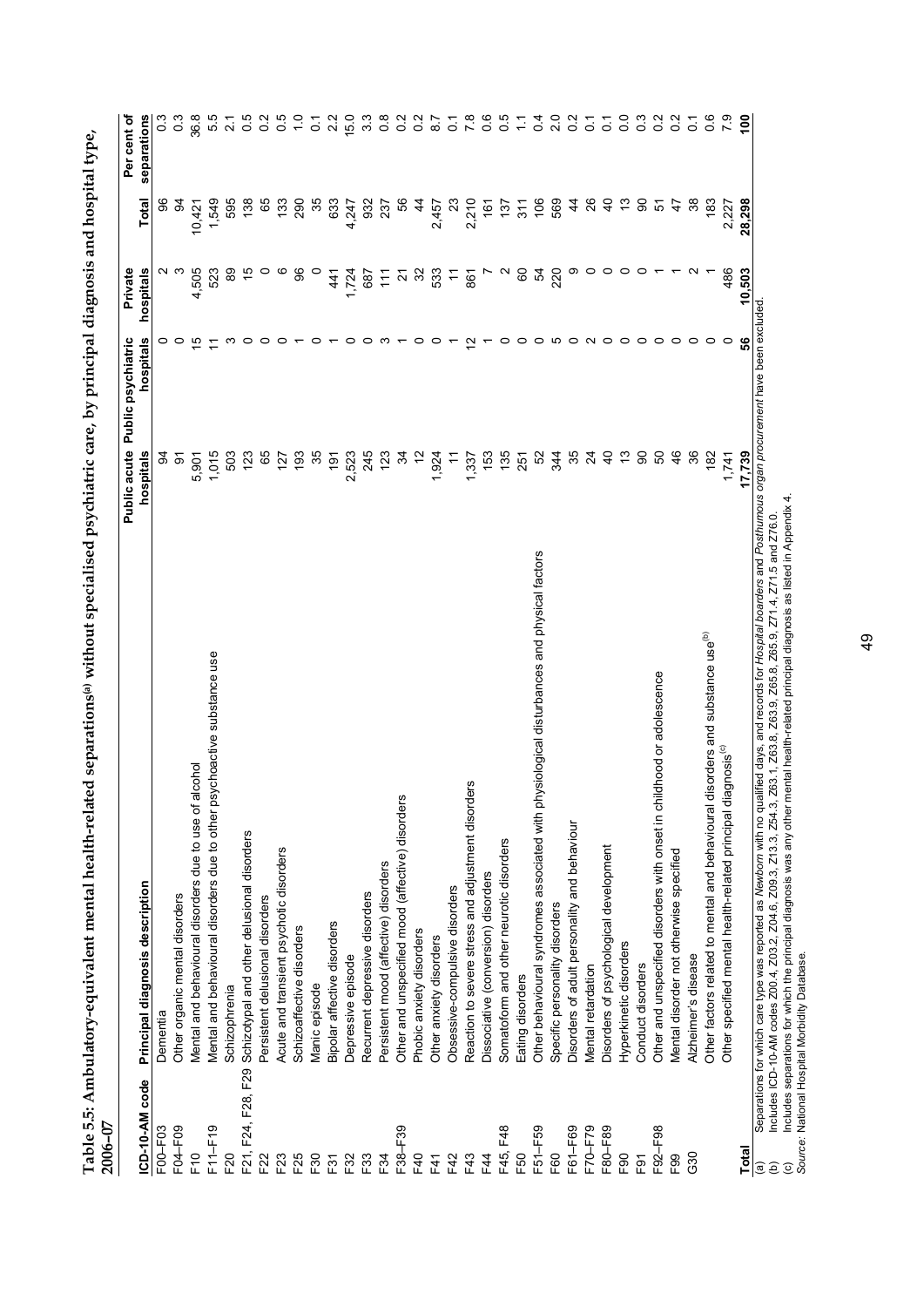| 2006-07            |                                                                                                                                                                                         | Public psychiatric<br>Public acute |                   | Private              |                  | Per cent of     |
|--------------------|-----------------------------------------------------------------------------------------------------------------------------------------------------------------------------------------|------------------------------------|-------------------|----------------------|------------------|-----------------|
| ICD-10-AM code     | Principal diagnosis description                                                                                                                                                         | hospitals                          | hospitals         | hospitals            | Total            | separations     |
| F00-F03            | Dementia                                                                                                                                                                                | 34                                 |                   |                      |                  | $\frac{3}{2}$   |
| F04-F09            | Other organic mental disorders                                                                                                                                                          | $\overline{5}$                     | $\circ$           | ო                    | ु                | $\frac{3}{2}$   |
| $E$ <sup>0</sup>   | alcohol<br>Mental and behavioural disorders due to use of                                                                                                                               | 5,901                              | 뜨                 | 4,505                | 10,421           | 36.8            |
| $F11-F19$          | Mental and behavioural disorders due to other psychoactive substance use                                                                                                                | 1,015                              |                   | 523                  | 1,549            | 5.5             |
| F20                | Schizophrenia                                                                                                                                                                           | 503                                |                   | 8                    | 595              | $\sim$          |
| F21, F24, F28, F29 | Schizotypal and other delusional disorders                                                                                                                                              | 123                                |                   | 40                   | 138              | 0.5             |
| F22                | Persistent delusional disorders                                                                                                                                                         | 65                                 | ○                 | $\circ$              | 65               | $\frac{2}{3}$   |
| F23                | Acute and transient psychotic disorders                                                                                                                                                 | 127                                | c                 | ဖ                    | 133              | 5.O             |
| F25                | Schizoaffective disorders                                                                                                                                                               | 193                                |                   | 8                    | 290              |                 |
| F30                | Manic episode                                                                                                                                                                           | 35                                 |                   |                      | 35               | $\tilde{\circ}$ |
| F31                | Bipolar affective disorders                                                                                                                                                             | š                                  |                   | 441                  | 633              | $\frac{2}{3}$   |
| F32                | Depressive episode                                                                                                                                                                      | 2,523                              | 0                 | ,724                 | 4,247            | 15.0            |
| F33                | Recurrent depressive disorders                                                                                                                                                          | 245                                | 0                 | 687                  | 932              | 3.3             |
| F34                | Persistent mood (affective) disorders                                                                                                                                                   | 123                                | ო                 |                      | 237              | $\frac{8}{2}$   |
| F38-F39            | ίW<br>Other and unspecified mood (affective) disorder                                                                                                                                   | 24                                 |                   | $\tilde{\Xi}$ 2 $\%$ | န္တ              | $\circ$         |
| F40                | Phobic anxiety disorders                                                                                                                                                                |                                    | o                 |                      | 4                | $\circ$         |
| F41                | Other anxiety disorders                                                                                                                                                                 | 1,924                              |                   | 23<br>29             | 2,457            | $\infty$        |
| F42                | Obsessive-compulsive disorders                                                                                                                                                          | $\tilde{t}$                        |                   |                      | ಔ                | Ö               |
| F43                | Reaction to severe stress and adjustment disorders                                                                                                                                      | 1,337                              | $\mathbf{\Omega}$ | 861                  | 2,210            | $\infty$        |
| F4                 | Dissociative (conversion) disorders                                                                                                                                                     | 153                                |                   | $\overline{a}$       | 161              | $\frac{6}{1}$   |
| F45, F48           | Somatoform and other neurotic disorders                                                                                                                                                 | 135                                | c                 | $\sim$               | 137              | 0.5             |
| F50                | Eating disorders                                                                                                                                                                        | 251                                | 0                 | 60                   | $\overline{311}$ |                 |
| F51-F59            | Other behavioural syndromes associated with physiological disturbances and physical factors                                                                                             | S <sub>2</sub>                     | $\circ$           | R,                   | 106              | 0.4             |
| F60                | Specific personality disorders                                                                                                                                                          | 344                                | Ю                 | 220                  | 569              | $\frac{0}{2}$   |
| F61-F69            | Disorders of adult personality and behaviour                                                                                                                                            | 35                                 | 0                 | თ                    | 4                | $\frac{2}{3}$   |
| F70-F79            | Mental retardation                                                                                                                                                                      | $\overline{2}$                     |                   | $\circ$              | 26               | $\overline{c}$  |
| F80-F89            | Disorders of psychological development                                                                                                                                                  | $\frac{1}{2}$                      | ○                 | $\circ$              | $\theta$         | $\overline{c}$  |
| F90                | Hyperkinetic disorders                                                                                                                                                                  |                                    | $\circ$           | $\circ$              | చ                | $\overline{0}$  |
| F <sub>9</sub> 1   | Conduct disorders                                                                                                                                                                       | 90                                 | $\circ$           | $\circ$              | 8                | $\frac{3}{2}$   |
| F92-F98            | Other and unspecified disorders with onset in childhood or adolescence                                                                                                                  | 50                                 | $\circ$           |                      | 5                | $\frac{2}{2}$   |
| F <sub>99</sub>    | Mental disorder not otherwise specified                                                                                                                                                 | 46                                 | $\circ$           |                      | $\ddot{t}$       | $\frac{2}{3}$   |
| G30                | Alzheimer's disease                                                                                                                                                                     | 36                                 | $\circ$           |                      | 38               | $\tilde{\circ}$ |
|                    | disorders and substance use <sup>(b)</sup><br>Other factors related to mental and behavioural                                                                                           | 182                                | っ                 |                      | $\frac{83}{2}$   | 0.6             |
|                    | Other specified mental health-related principal diagnosis <sup>(c)</sup>                                                                                                                | 1,741                              | 0                 | 486                  | 2,227            |                 |
| <b>Total</b>       |                                                                                                                                                                                         | 17,739                             | 56                | 10,503               | 28,298           | $\frac{8}{10}$  |
| $\widehat{a}$      | alified days, and records for <i>Hospital boarders</i> and <i>Posthumous organ procurement</i> have been excluded<br>Separations for which care type was reported as Newborn with no qu |                                    |                   |                      |                  |                 |

**Table 5.5: Ambulatory-equivalent mental health-related separations(a) without specialised psychiatric care, by principal diagnosis and hospital type,**  Table 5.5: Ambulatory-equivalent mental health-related separations<sup>(a)</sup> without specialised psychiatric care, by principal diagnosis and hospital type,

(b) Includes ICD-10-AM codes Z00.4, Z03.2, Z04.6, Z09.3, Z13.3, Z54.3, Z63.1, Z63.8, Z63.9, Z65.8, Z65.9, Z71.4, Z71.5 and Z76.0.

(b)<br>(b) Includes ICD-10-AM codes Z00.4, Z03.2, Z04.6, Z09.3, Z13.3, Z54.3, Z63.1, Z63.8, Z63.9, Z65.9, Z71.4, Z71.5 and Z76.0.<br>(c) Includes separations for which the principal diagnosis was any other mental health-related (c) Includes separations for which the principal diagnosis was any other mental health-related principal diagnosis as listed in Appendix 4.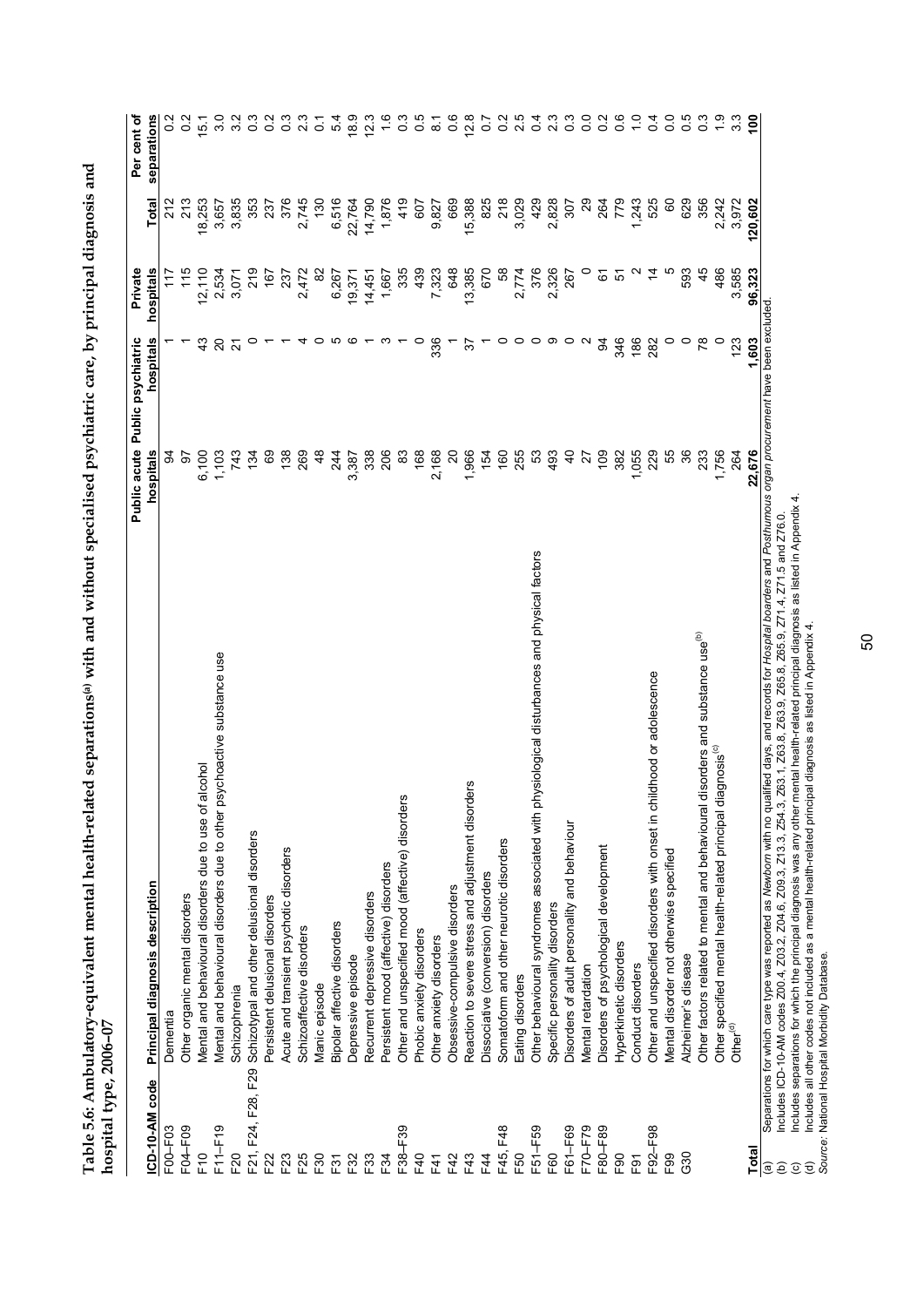| and                                                       |  |
|-----------------------------------------------------------|--|
|                                                           |  |
| ເ                                                         |  |
|                                                           |  |
|                                                           |  |
| 一 ロヤワ つ                                                   |  |
|                                                           |  |
|                                                           |  |
|                                                           |  |
|                                                           |  |
|                                                           |  |
|                                                           |  |
|                                                           |  |
| ---- 2                                                    |  |
|                                                           |  |
|                                                           |  |
|                                                           |  |
|                                                           |  |
|                                                           |  |
|                                                           |  |
|                                                           |  |
|                                                           |  |
|                                                           |  |
| į                                                         |  |
| ospital type, 2006-07                                     |  |
|                                                           |  |
|                                                           |  |
| Table 5.6: Ambulatory-equivalent mental heal <sup>+</sup> |  |

|                                                                                             |                                                                                                                                                                                                                                                                                                                                                                                                                                                                                                                                                                                                                       | Public acute Public psychiatric |                          | Private   |              | Per cent of      |
|---------------------------------------------------------------------------------------------|-----------------------------------------------------------------------------------------------------------------------------------------------------------------------------------------------------------------------------------------------------------------------------------------------------------------------------------------------------------------------------------------------------------------------------------------------------------------------------------------------------------------------------------------------------------------------------------------------------------------------|---------------------------------|--------------------------|-----------|--------------|------------------|
| ICD-10-AM code                                                                              | Principal diagnosis description                                                                                                                                                                                                                                                                                                                                                                                                                                                                                                                                                                                       | hospitals                       | hospitals                | hospitals | Total        | separations      |
| F00-F03                                                                                     | Dementia                                                                                                                                                                                                                                                                                                                                                                                                                                                                                                                                                                                                              | 3                               |                          | 117       | 212          |                  |
| F04-F09                                                                                     | Other organic mental disorders                                                                                                                                                                                                                                                                                                                                                                                                                                                                                                                                                                                        | 57                              |                          | 115       | 213          | $\frac{2}{2}$    |
| $E$ <sup>0</sup>                                                                            | Mental and behavioural disorders due to use of alcohol                                                                                                                                                                                                                                                                                                                                                                                                                                                                                                                                                                | 6,100                           | $\frac{3}{4}$            | 12,110    | 18,253       | 15.1             |
| F11-F19                                                                                     | Mental and behavioural disorders due to other psychoactive substance use                                                                                                                                                                                                                                                                                                                                                                                                                                                                                                                                              | 1,103                           | 20                       | 2,534     | 3,657        | 3.0              |
| F20                                                                                         | Schizophrenia                                                                                                                                                                                                                                                                                                                                                                                                                                                                                                                                                                                                         | 743                             | $\overline{\mathcal{S}}$ | 3,071     | 3,835        | 3.2              |
| F21, F24, F28, F29                                                                          | Schizotypal and other delusional disorders                                                                                                                                                                                                                                                                                                                                                                                                                                                                                                                                                                            | 134                             | c                        | 219       | 353          | 0.3              |
| F22                                                                                         | Persistent delusional disorders                                                                                                                                                                                                                                                                                                                                                                                                                                                                                                                                                                                       | 69                              |                          | 167       | 237          | $\frac{2}{5}$    |
| F23                                                                                         | Acute and transient psychotic disorders                                                                                                                                                                                                                                                                                                                                                                                                                                                                                                                                                                               | 138                             |                          | 237       | 376          | $\frac{3}{2}$    |
| F25                                                                                         | Schizoaffective disorders                                                                                                                                                                                                                                                                                                                                                                                                                                                                                                                                                                                             | 269                             |                          | 2,472     | 2,745        | 2.3              |
| F30                                                                                         | Manic episode                                                                                                                                                                                                                                                                                                                                                                                                                                                                                                                                                                                                         | $\frac{8}{4}$                   | 0                        | $\approx$ | 130          | $\overline{O}$   |
| F31                                                                                         | Bipolar affective disorders                                                                                                                                                                                                                                                                                                                                                                                                                                                                                                                                                                                           | 244                             |                          | 6,267     | 6,516        | 54               |
| F32                                                                                         | Depressive episode                                                                                                                                                                                                                                                                                                                                                                                                                                                                                                                                                                                                    | 3,387                           | ဖ                        | 19,371    | 22,764       | 18.9             |
| F33                                                                                         | Recurrent depressive disorders                                                                                                                                                                                                                                                                                                                                                                                                                                                                                                                                                                                        | 338                             |                          | 14,451    | 14,790       | 12.3             |
| F34                                                                                         | Persistent mood (affective) disorders                                                                                                                                                                                                                                                                                                                                                                                                                                                                                                                                                                                 | 206                             |                          | 1,667     | 1,876        | $\frac{6}{1}$    |
| F38-F39                                                                                     | Other and unspecified mood (affective) disorders                                                                                                                                                                                                                                                                                                                                                                                                                                                                                                                                                                      | 83                              |                          | 335       | 419          | $\overline{0}$   |
| F40                                                                                         | Phobic anxiety disorders                                                                                                                                                                                                                                                                                                                                                                                                                                                                                                                                                                                              | 168                             | $\circ$                  | 439       | 607          | 0.5              |
| F41                                                                                         | Other anxiety disorders                                                                                                                                                                                                                                                                                                                                                                                                                                                                                                                                                                                               | 2,168                           | 336                      | 7,323     | 9,827        | $\overline{8}$ . |
| F42                                                                                         | Obsessive-compulsive disorders                                                                                                                                                                                                                                                                                                                                                                                                                                                                                                                                                                                        | $\Omega$                        |                          | 648       | 669          | 0.6              |
| F43                                                                                         | Reaction to severe stress and adjustment disorders                                                                                                                                                                                                                                                                                                                                                                                                                                                                                                                                                                    | 1,966                           | 57                       | 13,385    | 15,388       | 12.8             |
| E44                                                                                         | Dissociative (conversion) disorders                                                                                                                                                                                                                                                                                                                                                                                                                                                                                                                                                                                   | 154                             |                          | 670       | 825          | $\overline{0}$   |
| F45, F48                                                                                    | Somatoform and other neurotic disorders                                                                                                                                                                                                                                                                                                                                                                                                                                                                                                                                                                               | 160                             | 0                        | 58        | 218          | 0.2              |
| F50                                                                                         | Eating disorders                                                                                                                                                                                                                                                                                                                                                                                                                                                                                                                                                                                                      | 255                             | $\circ$                  | 2,774     | 3,029        | 2.5              |
| F51-F59                                                                                     | Other behavioural syndromes associated with physiological disturbances and physical factors                                                                                                                                                                                                                                                                                                                                                                                                                                                                                                                           | 53                              | $\circ$                  | 376       | 429          | 0.4              |
| F60                                                                                         | Specific personality disorders                                                                                                                                                                                                                                                                                                                                                                                                                                                                                                                                                                                        | 493                             | ာ                        | 2,326     | 2,828        | 2.3              |
| F61-F69                                                                                     | Disorders of adult personality and behaviour                                                                                                                                                                                                                                                                                                                                                                                                                                                                                                                                                                          | $\overline{4}$                  | $\circ$                  | 267       | 307          | $0.\overline{3}$ |
| F70-F79                                                                                     | Mental retardation                                                                                                                                                                                                                                                                                                                                                                                                                                                                                                                                                                                                    | 27                              | $\sim$                   | $\circ$   | $\mathbf{S}$ | $\overline{0}$   |
| F80-F89                                                                                     | Disorders of psychological development                                                                                                                                                                                                                                                                                                                                                                                                                                                                                                                                                                                | 109                             | 3                        | 6         | 264          | 0.2              |
| F <sub>90</sub>                                                                             | Hyperkinetic disorders                                                                                                                                                                                                                                                                                                                                                                                                                                                                                                                                                                                                | 382                             | 346                      | 5         | 779          | 0.6              |
| F <sub>91</sub>                                                                             | Conduct disorders                                                                                                                                                                                                                                                                                                                                                                                                                                                                                                                                                                                                     | 1,055                           | 186                      | Ν         | 1,243        | $\frac{0}{1}$    |
| F92-F98                                                                                     | Other and unspecified disorders with onset in childhood or adolescence                                                                                                                                                                                                                                                                                                                                                                                                                                                                                                                                                | 229                             | 282                      | $\dot{4}$ | 525          | 0.4              |
| F99                                                                                         | Mental disorder not otherwise specified                                                                                                                                                                                                                                                                                                                                                                                                                                                                                                                                                                               | 55                              | $\circ$                  | Ю         | 8            | $\overline{0}$   |
| 630                                                                                         | Alzheimer's disease                                                                                                                                                                                                                                                                                                                                                                                                                                                                                                                                                                                                   | 36                              | $\circ$                  | 593       | 629          | 0.5              |
|                                                                                             | disorders and substance use <sup>(b)</sup><br>Other factors related to mental and behavioural                                                                                                                                                                                                                                                                                                                                                                                                                                                                                                                         | 233                             | $\overline{78}$          | 45        | 356          | $\frac{3}{2}$    |
|                                                                                             | Other specified mental health-related principal diagnosis <sup>(c)</sup>                                                                                                                                                                                                                                                                                                                                                                                                                                                                                                                                              | 1,756                           | $\circ$                  | 486       | 2,242        | $\ddot{ }$ .     |
|                                                                                             | Other <sup>(d)</sup>                                                                                                                                                                                                                                                                                                                                                                                                                                                                                                                                                                                                  | 264                             | 123                      | 3,585     | 3,972        | $3.\overline{3}$ |
| Total                                                                                       |                                                                                                                                                                                                                                                                                                                                                                                                                                                                                                                                                                                                                       | 22,676                          | 1.603                    | 96,323    | 120,602      | ၔၟ               |
| $\widehat{\mathbf{c}}$<br>$\widehat{\mathbf{e}}$<br>$\widehat{\mathbf{e}}$<br>$\widehat{c}$ | Separations for which care type was reported as Newborn with no qualified days, and records for Hospital boarders and Posthumous organ procurement have been excluded<br>Includes separations for which the principal diagnosis was any other mental health-related principal diagnosis as listed in Appendix 4.<br>Z63.1, Z63.8, Z63.9, Z65.8, Z65.9, Z71.4, Z71.5 and Z76.0<br>Includes all other codes not included as a mental health-related principal diagnosis as listed in Appendix 4.<br>Includes ICD-10-AM codes Z00.4, Z03.2, Z04.6, Z09.3, Z13.3, Z54.3,<br>Source: National Hospital Morbidity Database. |                                 |                          |           |              |                  |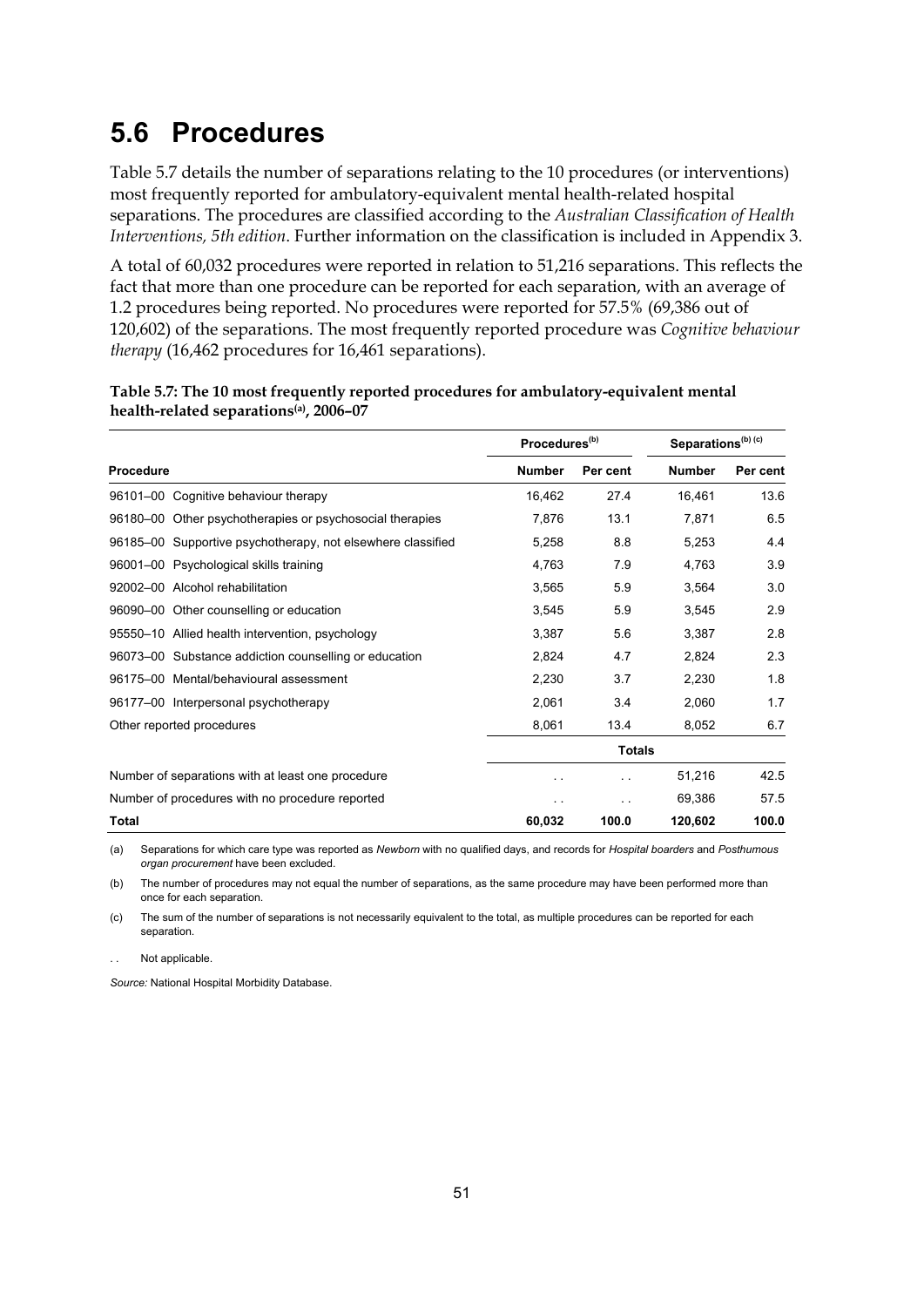# **5.6 Procedures**

Table 5.7 details the number of separations relating to the 10 procedures (or interventions) most frequently reported for ambulatory-equivalent mental health-related hospital separations. The procedures are classified according to the *Australian Classification of Health Interventions, 5th edition*. Further information on the classification is included in Appendix 3.

A total of 60,032 procedures were reported in relation to 51,216 separations. This reflects the fact that more than one procedure can be reported for each separation, with an average of 1.2 procedures being reported. No procedures were reported for 57.5% (69,386 out of 120,602) of the separations. The most frequently reported procedure was *Cognitive behaviour therapy* (16,462 procedures for 16,461 separations).

|                                                             | Procedures <sup>(b)</sup> |               | Separations <sup>(b) (c)</sup> |          |
|-------------------------------------------------------------|---------------------------|---------------|--------------------------------|----------|
| Procedure                                                   | <b>Number</b>             | Per cent      | <b>Number</b>                  | Per cent |
| 96101-00 Cognitive behaviour therapy                        | 16,462                    | 27.4          | 16,461                         | 13.6     |
| 96180–00 Other psychotherapies or psychosocial therapies    | 7,876                     | 13.1          | 7,871                          | 6.5      |
| 96185–00 Supportive psychotherapy, not elsewhere classified | 5,258                     | 8.8           | 5,253                          | 4.4      |
| 96001-00 Psychological skills training                      | 4,763                     | 7.9           | 4,763                          | 3.9      |
| 92002-00 Alcohol rehabilitation                             | 3,565                     | 5.9           | 3,564                          | 3.0      |
| 96090-00 Other counselling or education                     | 3,545                     | 5.9           | 3.545                          | 2.9      |
| 95550-10 Allied health intervention, psychology             | 3,387                     | 5.6           | 3,387                          | 2.8      |
| 96073-00 Substance addiction counselling or education       | 2,824                     | 4.7           | 2,824                          | 2.3      |
| 96175-00 Mental/behavioural assessment                      | 2,230                     | 3.7           | 2,230                          | 1.8      |
| 96177-00 Interpersonal psychotherapy                        | 2,061                     | 3.4           | 2,060                          | 1.7      |
| Other reported procedures                                   | 8,061                     | 13.4          | 8,052                          | 6.7      |
|                                                             |                           | <b>Totals</b> |                                |          |
| Number of separations with at least one procedure           |                           | . .           | 51,216                         | 42.5     |
| Number of procedures with no procedure reported             | $\cdot$ .                 | . .           | 69,386                         | 57.5     |
| Total                                                       | 60,032                    | 100.0         | 120,602                        | 100.0    |

| Table 5.7: The 10 most frequently reported procedures for ambulatory-equivalent mental |  |
|----------------------------------------------------------------------------------------|--|
| health-related separations <sup>(a)</sup> , 2006–07                                    |  |

(a) Separations for which care type was reported as *Newborn* with no qualified days, and records for *Hospital boarders* and *Posthumous organ procurement* have been excluded.

(b) The number of procedures may not equal the number of separations, as the same procedure may have been performed more than once for each separation.

(c) The sum of the number of separations is not necessarily equivalent to the total, as multiple procedures can be reported for each separation.

. . Not applicable.